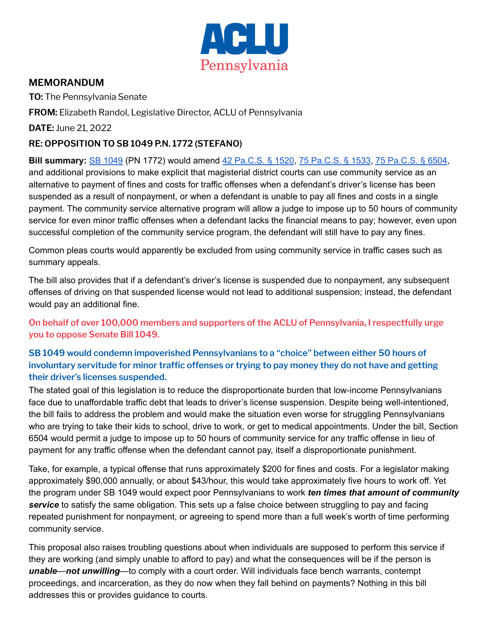

## **MEMORANDUM**

**TO:** The Pennsylvania Senate

**FROM:** Elizabeth Randol, Legislative Director, ACLU of Pennsylvania

**DATE:** June 21, 2022

## **RE: OPPOSITION TO SB 1049 P.N. 1772 (STEFANO)**

**Bill summary:** SB [1049](https://www.legis.state.pa.us/cfdocs/billInfo/billInfo.cfm?sYear=2021&sInd=0&body=S&type=B&bn=1049) (PN 1772) would amend 42 [Pa.C.S.](https://www.legis.state.pa.us/cfdocs/legis/LI/consCheck.cfm?txtType=HTM&ttl=42&div=0&chpt=15&sctn=20&subsctn=0) § 1520, 75 [Pa.C.S.](https://www.legis.state.pa.us/cfdocs/legis/LI/consCheck.cfm?txtType=HTM&ttl=75&div=0&chpt=15&sctn=33&subsctn=0) § 1533, 75 [Pa.C.S.](https://www.legis.state.pa.us/cfdocs/legis/LI/consCheck.cfm?txtType=HTM&ttl=75&div=0&chpt=65&sctn=4&subsctn=0) § 6504, and additional provisions to make explicit that magisterial district courts can use community service as an alternative to payment of fines and costs for traffic offenses when a defendant's driver's license has been suspended as a result of nonpayment, or when a defendant is unable to pay all fines and costs in a single payment. The community service alternative program will allow a judge to impose up to 50 hours of community service for even minor traffic offenses when a defendant lacks the financial means to pay; however, even upon successful completion of the community service program, the defendant will still have to pay any fines.

Common pleas courts would apparently be excluded from using community service in traffic cases such as summary appeals.

The bill also provides that if a defendant's driver's license is suspended due to nonpayment, any subsequent offenses of driving on that suspended license would not lead to additional suspension; instead, the defendant would pay an additional fine.

**On behalf of over 100,000 members and supporters of the ACLU of Pennsylvania, I respectfully urge you to oppose Senate Bill 1049.**

**SB 1049 would condemn impoverished Pennsylvanians to a "choice" between either 50 hours of involuntary servitude for minor traffic offenses or trying to pay money they do not have and getting their driver's licenses suspended.**

The stated goal of this legislation is to reduce the disproportionate burden that low-income Pennsylvanians face due to unaffordable traffic debt that leads to driver's license suspension. Despite being well-intentioned, the bill fails to address the problem and would make the situation even worse for struggling Pennsylvanians who are trying to take their kids to school, drive to work, or get to medical appointments. Under the bill, Section 6504 would permit a judge to impose up to 50 hours of community service for any traffic offense in lieu of payment for any traffic offense when the defendant cannot pay, itself a disproportionate punishment.

Take, for example, a typical offense that runs approximately \$200 for fines and costs. For a legislator making approximately \$90,000 annually, or about \$43/hour, this would take approximately five hours to work off. Yet the program under SB 1049 would expect poor Pennsylvanians to work *ten times that amount of community* **service** to satisfy the same obligation. This sets up a false choice between struggling to pay and facing repeated punishment for nonpayment, or agreeing to spend more than a full week's worth of time performing community service.

This proposal also raises troubling questions about when individuals are supposed to perform this service if they are working (and simply unable to afford to pay) and what the consequences will be if the person is *unable*—*not unwilling*—to comply with a court order. Will individuals face bench warrants, contempt proceedings, and incarceration, as they do now when they fall behind on payments? Nothing in this bill addresses this or provides guidance to courts.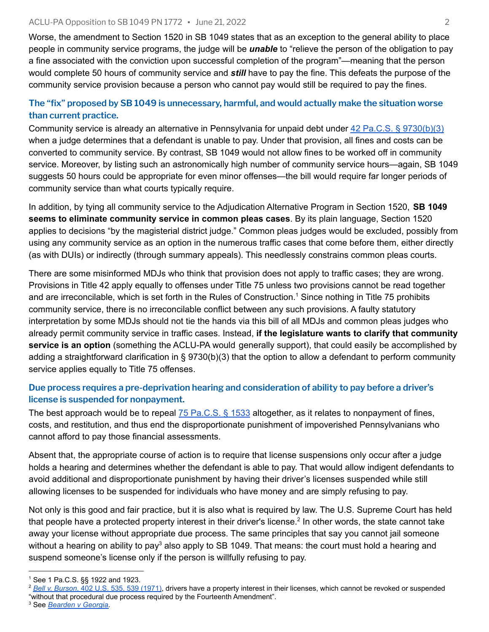Worse, the amendment to Section 1520 in SB 1049 states that as an exception to the general ability to place people in community service programs, the judge will be *unable* to "relieve the person of the obligation to pay a fine associated with the conviction upon successful completion of the program"—meaning that the person would complete 50 hours of community service and *still* have to pay the fine. This defeats the purpose of the community service provision because a person who cannot pay would still be required to pay the fines.

## **The "fix" proposed by SB 1049 is unnecessary, harmful, and would actually make the situation worse than current practice.**

Community service is already an alternative in Pennsylvania for unpaid debt under 42 Pa.C.S. § [9730\(b\)\(3\)](https://www.legis.state.pa.us/cfdocs/legis/LI/consCheck.cfm?txtType=HTM&ttl=42&div=0&chpt=97&sctn=30&subsctn=0) when a judge determines that a defendant is unable to pay. Under that provision, all fines and costs can be converted to community service. By contrast, SB 1049 would not allow fines to be worked off in community service. Moreover, by listing such an astronomically high number of community service hours—again, SB 1049 suggests 50 hours could be appropriate for even minor offenses—the bill would require far longer periods of community service than what courts typically require.

In addition, by tying all community service to the Adjudication Alternative Program in Section 1520, **SB 1049 seems to eliminate community service in common pleas cases**. By its plain language, Section 1520 applies to decisions "by the magisterial district judge." Common pleas judges would be excluded, possibly from using any community service as an option in the numerous traffic cases that come before them, either directly (as with DUIs) or indirectly (through summary appeals). This needlessly constrains common pleas courts.

There are some misinformed MDJs who think that provision does not apply to traffic cases; they are wrong. Provisions in Title 42 apply equally to offenses under Title 75 unless two provisions cannot be read together and are irreconcilable, which is set forth in the Rules of Construction.<sup>1</sup> Since nothing in Title 75 prohibits community service, there is no irreconcilable conflict between any such provisions. A faulty statutory interpretation by some MDJs should not tie the hands via this bill of all MDJs and common pleas judges who already permit community service in traffic cases. Instead, **if the legislature wants to clarify that community service is an option** (something the ACLU-PA would generally support), that could easily be accomplished by adding a straightforward clarification in § 9730(b)(3) that the option to allow a defendant to perform [community](https://www.legis.state.pa.us/cfdocs/legis/LI/consCheck.cfm?txtType=HTM&ttl=42&div=0&chpt=97&sctn=30&subsctn=0) service applies equally to Title 75 [offenses.](https://www.legis.state.pa.us/cfdocs/legis/LI/consCheck.cfm?txtType=HTM&ttl=42&div=0&chpt=97&sctn=30&subsctn=0)

## **Due process requires a pre-deprivation hearing and consideration of ability to pay before a driver's license is suspended for nonpayment.**

The best approach would be to repeal 75 [Pa.C.S.](https://www.legis.state.pa.us/cfdocs/legis/LI/consCheck.cfm?txtType=HTM&ttl=75&div=0&chpt=15&sctn=33&subsctn=0) § 1533 altogether, as it relates to nonpayment of fines, costs, and restitution, and thus end the disproportionate punishment of impoverished Pennsylvanians who cannot afford to pay those financial assessments.

Absent that, the appropriate course of action is to require that license suspensions only occur after a judge holds a hearing and determines whether the defendant is able to pay. That would allow indigent defendants to avoid additional and disproportionate punishment by having their driver's licenses suspended while still allowing licenses to be suspended for individuals who have money and are simply refusing to pay.

Not only is this good and fair practice, but it is also what is required by law. The U.S. Supreme Court has held that people have a protected property interest in their driver's license.<sup>2</sup> In other words, the state cannot take away your license without appropriate due process. The same principles that say you cannot jail someone without a hearing on ability to pay<sup>3</sup> also apply to SB 1049. That means: the court must hold a hearing and suspend someone's license only if the person is willfully refusing to pay.

<sup>3</sup> See *[Bearden v Georgia](https://casetext.com/case/bearden-v-georgia)*.

<sup>1</sup> See 1 Pa.C.S. §§ 1922 and 1923.

<sup>2</sup> *Bell v. Burson*[, 402 U.S. 535, 539 \(1971\)](https://casetext.com/case/bell-v-burson), drivers have a property interest in their licenses, which cannot be revoked or suspended "without that procedural due process required by the Fourteenth Amendment".